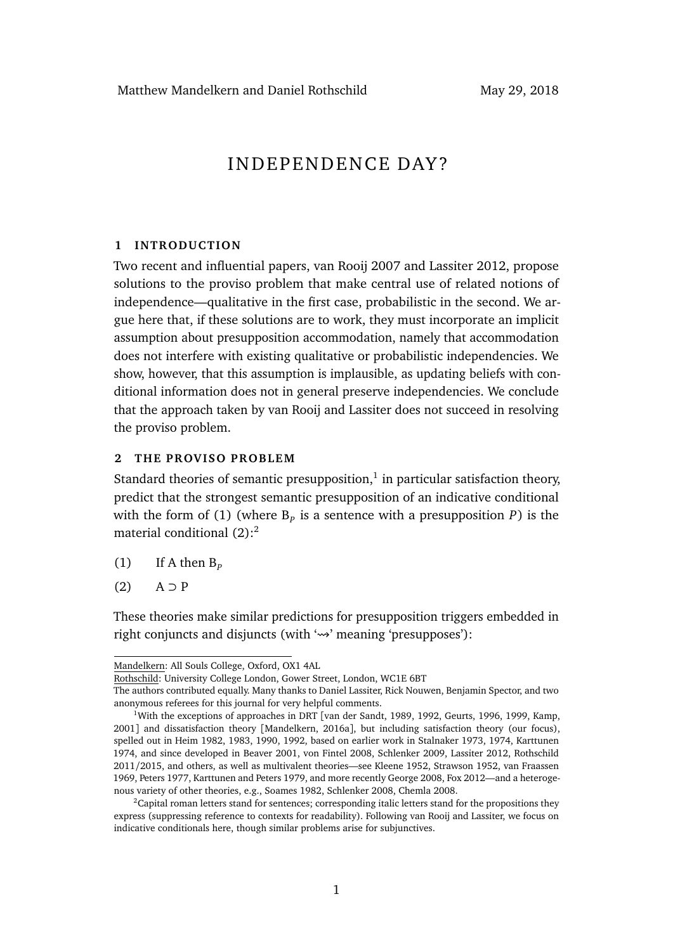# INDEPENDENCE DAY?

#### **1 INTRO D UCT ION**

Two recent and influential papers, [van Rooij 2007](#page-20-0) and [Lassiter 2012,](#page-20-1) propose solutions to the proviso problem that make central use of related notions of independence—qualitative in the first case, probabilistic in the second. We argue here that, if these solutions are to work, they must incorporate an implicit assumption about presupposition accommodation, namely that accommodation does not interfere with existing qualitative or probabilistic independencies. We show, however, that this assumption is implausible, as updating beliefs with conditional information does not in general preserve independencies. We conclude that the approach taken by van Rooij and Lassiter does not succeed in resolving the proviso problem.

#### <span id="page-0-2"></span>**2 THE PROVISO PROBLEM**

Standard theories of semantic presupposition, $1$  in particular satisfaction theory, predict that the strongest semantic presupposition of an indicative conditional with the form of  $(1)$  (where  $B_p$  is a sentence with a presupposition  $P$ ) is the material conditional  $(2)$  $(2)$  $(2)$ :<sup>2</sup>

- (1) If A then  $B_p$
- $(2)$  A  $\supset$  P

These theories make similar predictions for presupposition triggers embedded in right conjuncts and disjuncts (with ' $\rightsquigarrow$ ' meaning 'presupposes'):

Mandelkern: All Souls College, Oxford, OX1 4AL

Rothschild: University College London, Gower Street, London, WC1E 6BT

The authors contributed equally. Many thanks to Daniel Lassiter, Rick Nouwen, Benjamin Spector, and two anonymous referees for this journal for very helpful comments.

<span id="page-0-0"></span><sup>&</sup>lt;sup>1</sup>With the exceptions of approaches in DRT [[van der Sandt, 1989,](#page-20-2) [1992,](#page-20-3) [Geurts, 1996,](#page-19-0) [1999,](#page-19-1) [Kamp,](#page-19-2) [2001](#page-19-2)] and dissatisfaction theory [[Mandelkern, 2016a](#page-20-4)], but including satisfaction theory (our focus), spelled out in [Heim 1982,](#page-19-3) [1983,](#page-19-4) [1990,](#page-19-5) [1992,](#page-19-6) based on earlier work in [Stalnaker 1973,](#page-20-5) [1974,](#page-20-6) [Karttunen](#page-19-7) [1974,](#page-19-7) and since developed in [Beaver 2001,](#page-18-0) [von Fintel 2008,](#page-19-8) [Schlenker 2009,](#page-20-7) [Lassiter 2012,](#page-20-1) [Rothschild](#page-20-8) 2011/[2015,](#page-20-8) and others, as well as multivalent theories—see [Kleene 1952,](#page-20-9) [Strawson 1952,](#page-21-0) [van Fraassen](#page-19-9) [1969,](#page-19-9) [Peters 1977,](#page-20-10) [Karttunen and Peters 1979,](#page-20-11) and more recently [George 2008,](#page-19-10) [Fox 2012—](#page-19-11)and a heterogenous variety of other theories, e.g., [Soames 1982,](#page-20-12) [Schlenker 2008,](#page-20-13) [Chemla 2008.](#page-18-1)

<span id="page-0-1"></span><sup>&</sup>lt;sup>2</sup>Capital roman letters stand for sentences; corresponding italic letters stand for the propositions they express (suppressing reference to contexts for readability). Following van Rooij and Lassiter, we focus on indicative conditionals here, though similar problems arise for subjunctives.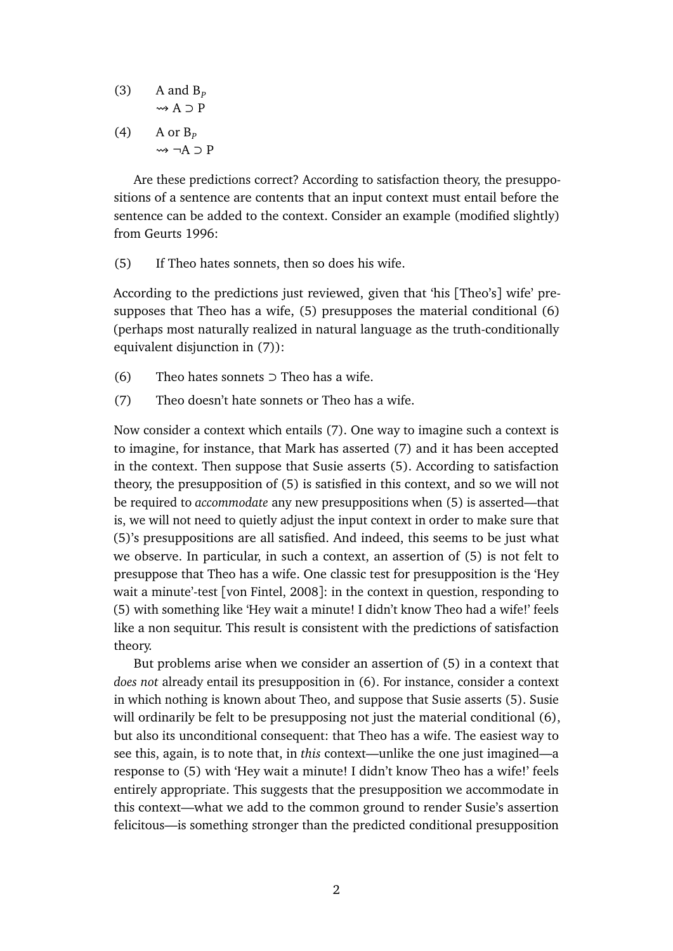(3) A and B*<sup>P</sup>*  $→ A ⊃ P$ 

(4) 
$$
A \text{ or } B_p
$$
  
 $\rightarrow \neg A \supset P$ 

Are these predictions correct? According to satisfaction theory, the presuppositions of a sentence are contents that an input context must entail before the sentence can be added to the context. Consider an example (modified slightly) from [Geurts 1996:](#page-19-0)

<span id="page-1-0"></span>(5) If Theo hates sonnets, then so does his wife.

According to the predictions just reviewed, given that 'his [Theo's] wife' presupposes that Theo has a wife, (5) presupposes the material conditional (6) (perhaps most naturally realized in natural language as the truth-conditionally equivalent disjunction in (7)):

- <span id="page-1-1"></span>(6) Theo hates sonnets ⊃ Theo has a wife.
- (7) Theo doesn't hate sonnets or Theo has a wife.

Now consider a context which entails (7). One way to imagine such a context is to imagine, for instance, that Mark has asserted (7) and it has been accepted in the context. Then suppose that Susie asserts [\(5\).](#page-1-0) According to satisfaction theory, the presupposition of [\(5\)](#page-1-0) is satisfied in this context, and so we will not be required to *accommodate* any new presuppositions when [\(5\)](#page-1-0) is asserted—that is, we will not need to quietly adjust the input context in order to make sure that [\(5\)'](#page-1-0)s presuppositions are all satisfied. And indeed, this seems to be just what we observe. In particular, in such a context, an assertion of [\(5\)](#page-1-0) is not felt to presuppose that Theo has a wife. One classic test for presupposition is the 'Hey wait a minute'-test [[von Fintel, 2008](#page-19-8)]: in the context in question, responding to [\(5\)](#page-1-0) with something like 'Hey wait a minute! I didn't know Theo had a wife!' feels like a non sequitur. This result is consistent with the predictions of satisfaction theory.

But problems arise when we consider an assertion of [\(5\)](#page-1-0) in a context that *does not* already entail its presupposition in [\(6\).](#page-1-1) For instance, consider a context in which nothing is known about Theo, and suppose that Susie asserts [\(5\).](#page-1-0) Susie will ordinarily be felt to be presupposing not just the material conditional [\(6\),](#page-1-1) but also its unconditional consequent: that Theo has a wife. The easiest way to see this, again, is to note that, in *this* context—unlike the one just imagined—a response to [\(5\)](#page-1-0) with 'Hey wait a minute! I didn't know Theo has a wife!' feels entirely appropriate. This suggests that the presupposition we accommodate in this context—what we add to the common ground to render Susie's assertion felicitous—is something stronger than the predicted conditional presupposition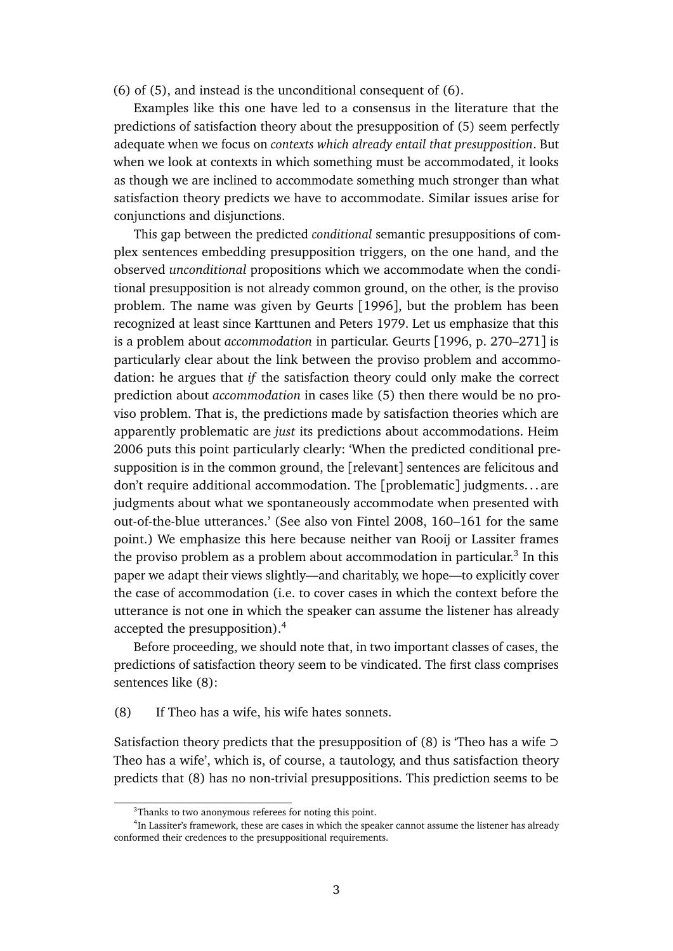[\(6\)](#page-1-1) of [\(5\),](#page-1-0) and instead is the unconditional consequent of [\(6\).](#page-1-1)

Examples like this one have led to a consensus in the literature that the predictions of satisfaction theory about the presupposition of [\(5\)](#page-1-0) seem perfectly adequate when we focus on *contexts which already entail that presupposition*. But when we look at contexts in which something must be accommodated, it looks as though we are inclined to accommodate something much stronger than what satisfaction theory predicts we have to accommodate. Similar issues arise for conjunctions and disjunctions.

This gap between the predicted *conditional* semantic presuppositions of complex sentences embedding presupposition triggers, on the one hand, and the observed *unconditional* propositions which we accommodate when the conditional presupposition is not already common ground, on the other, is the proviso problem. The name was given by [Geurts](#page-19-0) [[1996](#page-19-0)], but the problem has been recognized at least since [Karttunen and Peters 1979.](#page-20-11) Let us emphasize that this is a problem about *accommodation* in particular. [Geurts](#page-19-0) [[1996,](#page-19-0) p. 270–271] is particularly clear about the link between the proviso problem and accommodation: he argues that *if* the satisfaction theory could only make the correct prediction about *accommodation* in cases like [\(5\)](#page-1-0) then there would be no proviso problem. That is, the predictions made by satisfaction theories which are apparently problematic are *just* its predictions about accommodations. [Heim](#page-19-12) [2006](#page-19-12) puts this point particularly clearly: 'When the predicted conditional presupposition is in the common ground, the [relevant] sentences are felicitous and don't require additional accommodation. The [problematic] judgments. . . are judgments about what we spontaneously accommodate when presented with out-of-the-blue utterances.' (See also [von Fintel 2008,](#page-19-8) 160–161 for the same point.) We emphasize this here because neither van Rooij or Lassiter frames the proviso problem as a problem about accommodation in particular.<sup>[3](#page-2-0)</sup> In this paper we adapt their views slightly—and charitably, we hope—to explicitly cover the case of accommodation (i.e. to cover cases in which the context before the utterance is not one in which the speaker can assume the listener has already accepted the presupposition).[4](#page-2-1)

Before proceeding, we should note that, in two important classes of cases, the predictions of satisfaction theory seem to be vindicated. The first class comprises sentences like (8):

(8) If Theo has a wife, his wife hates sonnets.

Satisfaction theory predicts that the presupposition of (8) is 'Theo has a wife  $\supset$ Theo has a wife', which is, of course, a tautology, and thus satisfaction theory predicts that (8) has no non-trivial presuppositions. This prediction seems to be

<span id="page-2-1"></span><span id="page-2-0"></span><sup>&</sup>lt;sup>3</sup>Thanks to two anonymous referees for noting this point.

<sup>&</sup>lt;sup>4</sup>In Lassiter's framework, these are cases in which the speaker cannot assume the listener has already conformed their credences to the presuppositional requirements.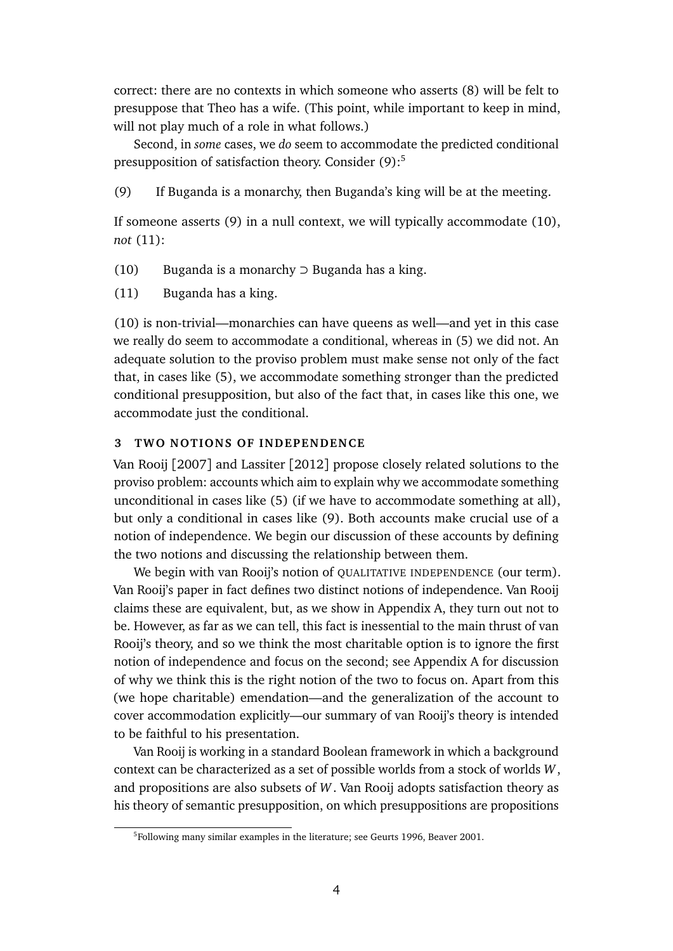correct: there are no contexts in which someone who asserts (8) will be felt to presuppose that Theo has a wife. (This point, while important to keep in mind, will not play much of a role in what follows.)

Second, in *some* cases, we *do* seem to accommodate the predicted conditional presupposition of satisfaction theory. Consider (9):<sup>[5](#page-3-0)</sup>

<span id="page-3-1"></span>(9) If Buganda is a monarchy, then Buganda's king will be at the meeting.

If someone asserts (9) in a null context, we will typically accommodate (10), *not* (11):

- (10) Buganda is a monarchy ⊃ Buganda has a king.
- (11) Buganda has a king.

(10) is non-trivial—monarchies can have queens as well—and yet in this case we really do seem to accommodate a conditional, whereas in [\(5\)](#page-1-0) we did not. An adequate solution to the proviso problem must make sense not only of the fact that, in cases like [\(5\),](#page-1-0) we accommodate something stronger than the predicted conditional presupposition, but also of the fact that, in cases like this one, we accommodate just the conditional.

# **3 TWO NOTIONS OF INDEPENDENCE**

Van Rooij [[2007](#page-20-0)] and [Lassiter](#page-20-1) [[2012](#page-20-1)] propose closely related solutions to the proviso problem: accounts which aim to explain why we accommodate something unconditional in cases like [\(5\)](#page-1-0) (if we have to accommodate something at all), but only a conditional in cases like [\(9\).](#page-3-1) Both accounts make crucial use of a notion of independence. We begin our discussion of these accounts by defining the two notions and discussing the relationship between them.

We begin with van Rooij's notion of QUALITATIVE INDEPENDENCE (our term). Van Rooij's paper in fact defines two distinct notions of independence. Van Rooij claims these are equivalent, but, as we show in Appendix [A,](#page-13-0) they turn out not to be. However, as far as we can tell, this fact is inessential to the main thrust of van Rooij's theory, and so we think the most charitable option is to ignore the first notion of independence and focus on the second; see Appendix [A](#page-13-0) for discussion of why we think this is the right notion of the two to focus on. Apart from this (we hope charitable) emendation—and the generalization of the account to cover accommodation explicitly—our summary of van Rooij's theory is intended to be faithful to his presentation.

Van Rooij is working in a standard Boolean framework in which a background context can be characterized as a set of possible worlds from a stock of worlds *W*, and propositions are also subsets of *W*. Van Rooij adopts satisfaction theory as his theory of semantic presupposition, on which presuppositions are propositions

<span id="page-3-0"></span> $5$ Following many similar examples in the literature; see [Geurts 1996,](#page-19-0) [Beaver 2001.](#page-18-0)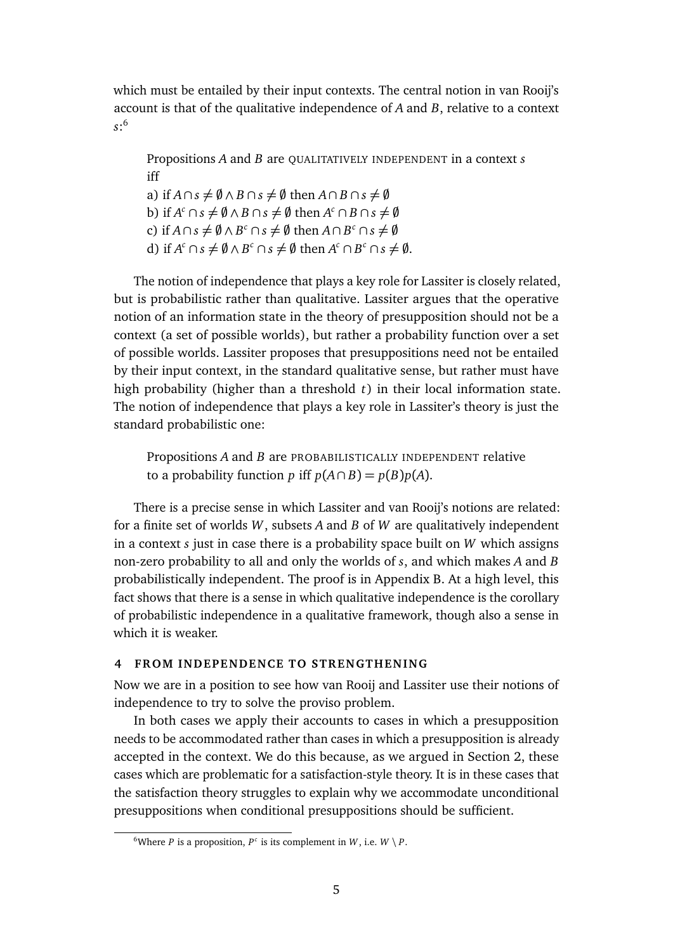which must be entailed by their input contexts. The central notion in van Rooij's account is that of the qualitative independence of *A* and *B*, relative to a context *s*: [6](#page-4-0)

Propositions *A* and *B* are QUALITATIVELY INDEPENDENT in a context *s* iff a) if  $A \cap s \neq \emptyset \land B \cap s \neq \emptyset$  then  $A \cap B \cap s \neq \emptyset$ b) if  $A^c \cap s \neq \emptyset \land B \cap s \neq \emptyset$  then  $A^c \cap B \cap s \neq \emptyset$ c) if  $A \cap s \neq \emptyset \land B^c \cap s \neq \emptyset$  then  $A \cap B^c \cap s \neq \emptyset$ 

d) if  $A^c \cap s \neq \emptyset \land B^c \cap s \neq \emptyset$  then  $A^c \cap B^c \cap s \neq \emptyset$ .

The notion of independence that plays a key role for Lassiter is closely related, but is probabilistic rather than qualitative. Lassiter argues that the operative notion of an information state in the theory of presupposition should not be a context (a set of possible worlds), but rather a probability function over a set of possible worlds. Lassiter proposes that presuppositions need not be entailed by their input context, in the standard qualitative sense, but rather must have high probability (higher than a threshold *t*) in their local information state. The notion of independence that plays a key role in Lassiter's theory is just the standard probabilistic one:

Propositions *A* and *B* are PROBABILISTICALLY INDEPENDENT relative to a probability function *p* iff  $p(A \cap B) = p(B)p(A)$ .

There is a precise sense in which Lassiter and van Rooij's notions are related: for a finite set of worlds *W*, subsets *A* and *B* of *W* are qualitatively independent in a context *s* just in case there is a probability space built on *W* which assigns non-zero probability to all and only the worlds of *s*, and which makes *A* and *B* probabilistically independent. The proof is in Appendix [B.](#page-15-0) At a high level, this fact shows that there is a sense in which qualitative independence is the corollary of probabilistic independence in a qualitative framework, though also a sense in which it is weaker.

## **4 FROM INDEPENDENCE TO STRENGTHENING**

Now we are in a position to see how van Rooij and Lassiter use their notions of independence to try to solve the proviso problem.

In both cases we apply their accounts to cases in which a presupposition needs to be accommodated rather than cases in which a presupposition is already accepted in the context. We do this because, as we argued in Section [2,](#page-0-2) these cases which are problematic for a satisfaction-style theory. It is in these cases that the satisfaction theory struggles to explain why we accommodate unconditional presuppositions when conditional presuppositions should be sufficient.

<span id="page-4-0"></span><sup>&</sup>lt;sup>6</sup>Where *P* is a proposition,  $P^c$  is its complement in *W*, i.e. *W* \ *P*.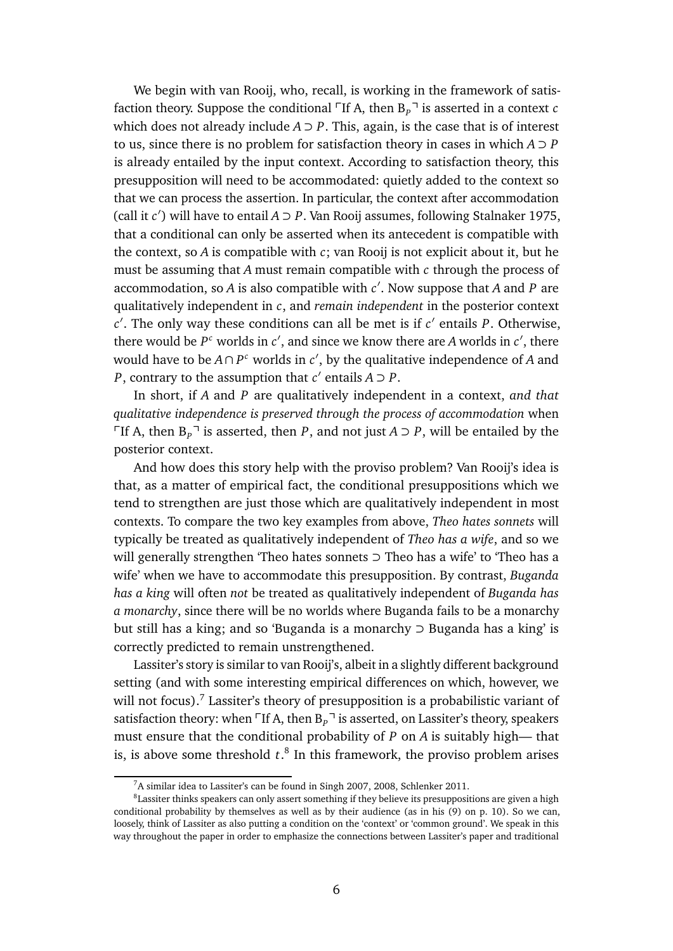We begin with van Rooij, who, recall, is working in the framework of satisfaction theory. Suppose the conditional  $\Gamma$ If A, then  $B_p$ <sup> $\Gamma$ </sup> is asserted in a context *c* which does not already include  $A \supset P$ . This, again, is the case that is of interest to us, since there is no problem for satisfaction theory in cases in which  $A \supset P$ is already entailed by the input context. According to satisfaction theory, this presupposition will need to be accommodated: quietly added to the context so that we can process the assertion. In particular, the context after accommodation (call it *c* 0 ) will have to entail *A* ⊃ *P*. Van Rooij assumes, following [Stalnaker 1975,](#page-21-1) that a conditional can only be asserted when its antecedent is compatible with the context, so *A* is compatible with *c*; van Rooij is not explicit about it, but he must be assuming that *A* must remain compatible with *c* through the process of accommodation, so *A* is also compatible with *c* 0 . Now suppose that *A* and *P* are qualitatively independent in *c*, and *remain independent* in the posterior context  $c'$ . The only way these conditions can all be met is if  $c'$  entails P. Otherwise, there would be  $P^c$  worlds in  $c'$ , and since we know there are *A* worlds in  $c'$ , there would have to be *A*∩ *P<sup>c</sup>* worlds in *c'*, by the qualitative independence of *A* and *P*, contrary to the assumption that *c'* entails  $A \supset P$ .

In short, if *A* and *P* are qualitatively independent in a context, *and that qualitative independence is preserved through the process of accommodation* when  $\Gamma$ If A, then  $B_p$ <sup>→</sup> is asserted, then *P*, and not just *A*  $\supset$  *P*, will be entailed by the posterior context.

And how does this story help with the proviso problem? Van Rooij's idea is that, as a matter of empirical fact, the conditional presuppositions which we tend to strengthen are just those which are qualitatively independent in most contexts. To compare the two key examples from above, *Theo hates sonnets* will typically be treated as qualitatively independent of *Theo has a wife*, and so we will generally strengthen 'Theo hates sonnets ⊃ Theo has a wife' to 'Theo has a wife' when we have to accommodate this presupposition. By contrast, *Buganda has a king* will often *not* be treated as qualitatively independent of *Buganda has a monarchy*, since there will be no worlds where Buganda fails to be a monarchy but still has a king; and so 'Buganda is a monarchy ⊃ Buganda has a king' is correctly predicted to remain unstrengthened.

Lassiter's story is similar to van Rooij's, albeit in a slightly different background setting (and with some interesting empirical differences on which, however, we will not focus).<sup>[7](#page-5-0)</sup> Lassiter's theory of presupposition is a probabilistic variant of satisfaction theory: when  $\Gamma$ If A, then  $B_p$ <sup> $\Gamma$ </sup> is asserted, on Lassiter's theory, speakers must ensure that the conditional probability of *P* on *A* is suitably high— that is, is above some threshold  $t$ <sup>[8](#page-5-1)</sup>. In this framework, the proviso problem arises

<span id="page-5-1"></span><span id="page-5-0"></span><sup>7</sup>A similar idea to Lassiter's can be found in [Singh 2007,](#page-20-14) [2008,](#page-20-15) [Schlenker 2011.](#page-20-16)

<sup>&</sup>lt;sup>8</sup> Lassiter thinks speakers can only assert something if they believe its presuppositions are given a high conditional probability by themselves as well as by their audience (as in his (9) on p. 10). So we can, loosely, think of Lassiter as also putting a condition on the 'context' or 'common ground'. We speak in this way throughout the paper in order to emphasize the connections between Lassiter's paper and traditional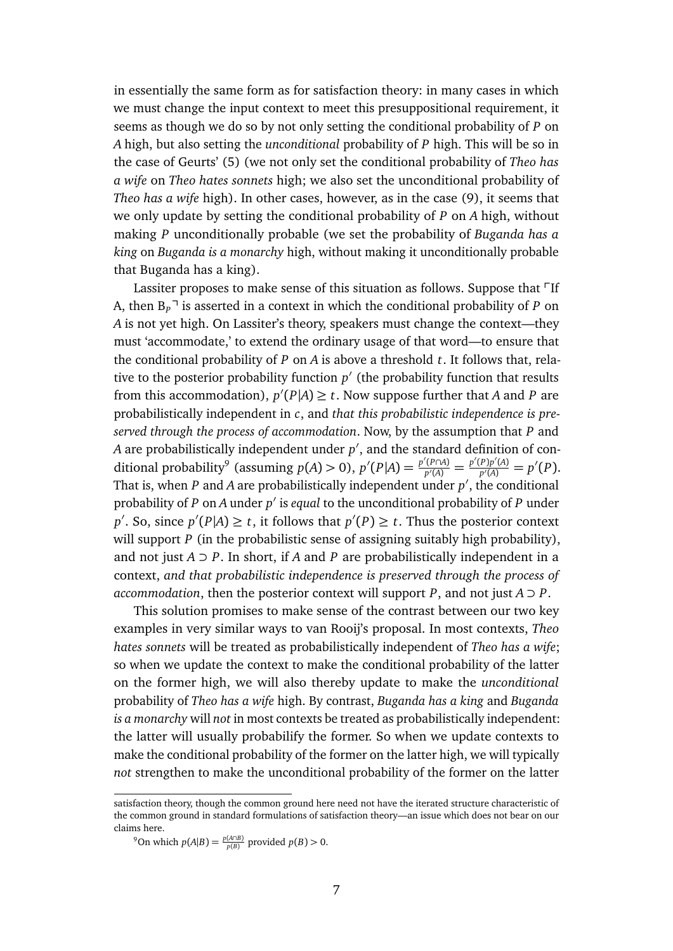in essentially the same form as for satisfaction theory: in many cases in which we must change the input context to meet this presuppositional requirement, it seems as though we do so by not only setting the conditional probability of *P* on *A* high, but also setting the *unconditional* probability of *P* high. This will be so in the case of Geurts' [\(5\)](#page-1-0) (we not only set the conditional probability of *Theo has a wife* on *Theo hates sonnets* high; we also set the unconditional probability of *Theo has a wife* high). In other cases, however, as in the case [\(9\),](#page-3-1) it seems that we only update by setting the conditional probability of *P* on *A* high, without making *P* unconditionally probable (we set the probability of *Buganda has a king* on *Buganda is a monarchy* high, without making it unconditionally probable that Buganda has a king).

Lassiter proposes to make sense of this situation as follows. Suppose that  $\ulcorner$  If A, then  $B_p$ <sup> $\bar{P}$ </sup> is asserted in a context in which the conditional probability of *P* on *A* is not yet high. On Lassiter's theory, speakers must change the context—they must 'accommodate,' to extend the ordinary usage of that word—to ensure that the conditional probability of *P* on *A* is above a threshold *t*. It follows that, relative to the posterior probability function  $p'$  (the probability function that results from this accommodation),  $p'(P|A) \ge t$ . Now suppose further that *A* and *P* are probabilistically independent in *c*, and *that this probabilistic independence is preserved through the process of accommodation*. Now, by the assumption that *P* and *A* are probabilistically independent under  $p'$ , and the standard definition of con-ditional probability<sup>[9](#page-6-0)</sup> (assuming  $p(A) > 0$ ),  $p'(P|A) = \frac{p'(P \cap A)}{p'(A)}$  $\frac{p'(P \cap A)}{p'(A)} = \frac{p'(P)p'(A)}{p'(A)}$  $\frac{(P)p'(A)}{p'(A)} = p'(P).$ That is, when *P* and *A* are probabilistically independent under  $p'$ , the conditional probability of *P* on *A* under  $p'$  is equal to the unconditional probability of *P* under  $p'$ . So, since  $p'(P|A) \ge t$ , it follows that  $p'(P) \ge t$ . Thus the posterior context will support *P* (in the probabilistic sense of assigning suitably high probability), and not just  $A \supset P$ . In short, if *A* and *P* are probabilistically independent in a context, *and that probabilistic independence is preserved through the process of accommodation*, then the posterior context will support *P*, and not just  $A \supset P$ .

This solution promises to make sense of the contrast between our two key examples in very similar ways to van Rooij's proposal. In most contexts, *Theo hates sonnets* will be treated as probabilistically independent of *Theo has a wife*; so when we update the context to make the conditional probability of the latter on the former high, we will also thereby update to make the *unconditional* probability of *Theo has a wife* high. By contrast, *Buganda has a king* and *Buganda is a monarchy* will *not* in most contexts be treated as probabilistically independent: the latter will usually probabilify the former. So when we update contexts to make the conditional probability of the former on the latter high, we will typically *not* strengthen to make the unconditional probability of the former on the latter

satisfaction theory, though the common ground here need not have the iterated structure characteristic of the common ground in standard formulations of satisfaction theory—an issue which does not bear on our claims here.

<span id="page-6-0"></span><sup>&</sup>lt;sup>9</sup>On which  $p(A|B) = \frac{p(A \cap B)}{p(B)}$  provided  $p(B) > 0$ .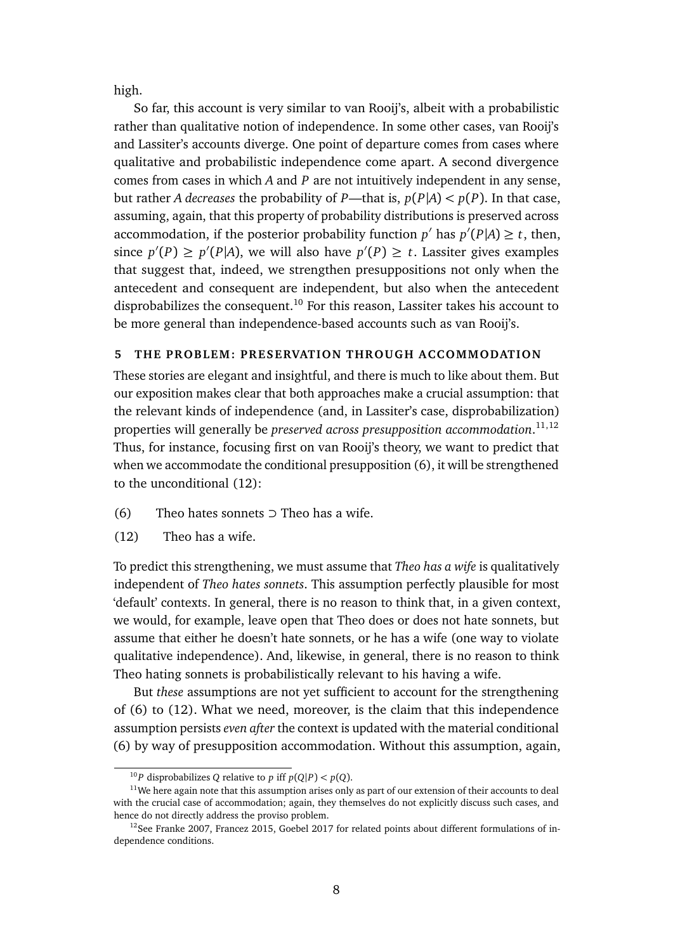high.

So far, this account is very similar to van Rooij's, albeit with a probabilistic rather than qualitative notion of independence. In some other cases, van Rooij's and Lassiter's accounts diverge. One point of departure comes from cases where qualitative and probabilistic independence come apart. A second divergence comes from cases in which *A* and *P* are not intuitively independent in any sense, but rather *A decreases* the probability of *P*—that is,  $p(P|A) < p(P)$ . In that case, assuming, again, that this property of probability distributions is preserved across accommodation, if the posterior probability function  $p'$  has  $p'(P|A) \ge t$ , then, since  $p'(P) \ge p'(P|A)$ , we will also have  $p'(P) \ge t$ . Lassiter gives examples that suggest that, indeed, we strengthen presuppositions not only when the antecedent and consequent are independent, but also when the antecedent disprobabilizes the consequent.<sup>[10](#page-7-0)</sup> For this reason, Lassiter takes his account to be more general than independence-based accounts such as van Rooij's.

# **5 TH E PROB L EM : PR E S ERVAT ION THRO U GH ACCOMMO DAT ION**

These stories are elegant and insightful, and there is much to like about them. But our exposition makes clear that both approaches make a crucial assumption: that the relevant kinds of independence (and, in Lassiter's case, disprobabilization) properties will generally be *preserved across presupposition accommodation*. [11,](#page-7-1)[12](#page-7-2) Thus, for instance, focusing first on van Rooij's theory, we want to predict that when we accommodate the conditional presupposition [\(6\),](#page-1-1) it will be strengthened to the unconditional [\(12\):](#page-7-3)

- <span id="page-7-3"></span>[\(6\)](#page-1-1) Theo hates sonnets ⊃ Theo has a wife.
- (12) Theo has a wife.

To predict this strengthening, we must assume that *Theo has a wife* is qualitatively independent of *Theo hates sonnets*. This assumption perfectly plausible for most 'default' contexts. In general, there is no reason to think that, in a given context, we would, for example, leave open that Theo does or does not hate sonnets, but assume that either he doesn't hate sonnets, or he has a wife (one way to violate qualitative independence). And, likewise, in general, there is no reason to think Theo hating sonnets is probabilistically relevant to his having a wife.

But *these* assumptions are not yet sufficient to account for the strengthening of [\(6\)](#page-1-1) to [\(12\).](#page-7-3) What we need, moreover, is the claim that this independence assumption persists *even after* the context is updated with the material conditional [\(6\)](#page-1-1) by way of presupposition accommodation. Without this assumption, again,

<span id="page-7-1"></span><span id="page-7-0"></span><sup>&</sup>lt;sup>10</sup>P disprobabilizes *Q* relative to *p* iff  $p(Q|P) < p(Q)$ .

 $11$ We here again note that this assumption arises only as part of our extension of their accounts to deal with the crucial case of accommodation; again, they themselves do not explicitly discuss such cases, and hence do not directly address the proviso problem.

<span id="page-7-2"></span> $12$ See [Franke 2007,](#page-19-13) [Francez 2015,](#page-19-14) [Goebel 2017](#page-19-15) for related points about different formulations of independence conditions.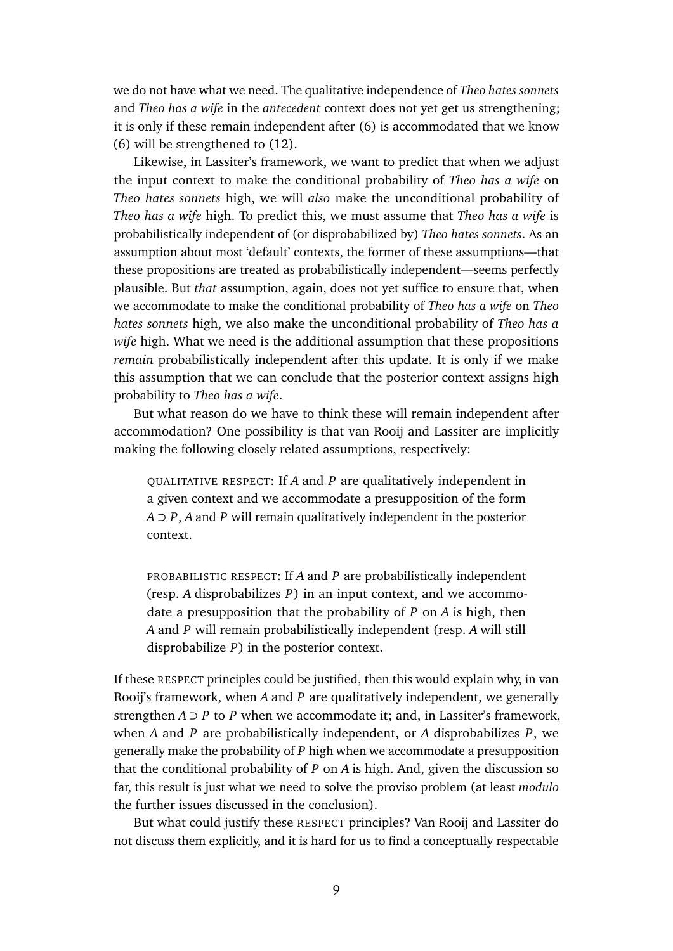we do not have what we need. The qualitative independence of *Theo hates sonnets* and *Theo has a wife* in the *antecedent* context does not yet get us strengthening; it is only if these remain independent after [\(6\)](#page-1-1) is accommodated that we know [\(6\)](#page-1-1) will be strengthened to [\(12\).](#page-7-3)

Likewise, in Lassiter's framework, we want to predict that when we adjust the input context to make the conditional probability of *Theo has a wife* on *Theo hates sonnets* high, we will *also* make the unconditional probability of *Theo has a wife* high. To predict this, we must assume that *Theo has a wife* is probabilistically independent of (or disprobabilized by) *Theo hates sonnets*. As an assumption about most 'default' contexts, the former of these assumptions—that these propositions are treated as probabilistically independent—seems perfectly plausible. But *that* assumption, again, does not yet suffice to ensure that, when we accommodate to make the conditional probability of *Theo has a wife* on *Theo hates sonnets* high, we also make the unconditional probability of *Theo has a wife* high. What we need is the additional assumption that these propositions *remain* probabilistically independent after this update. It is only if we make this assumption that we can conclude that the posterior context assigns high probability to *Theo has a wife*.

But what reason do we have to think these will remain independent after accommodation? One possibility is that van Rooij and Lassiter are implicitly making the following closely related assumptions, respectively:

QUALITATIVE RESPECT: If *A* and *P* are qualitatively independent in a given context and we accommodate a presupposition of the form *A* ⊃ *P*, *A* and *P* will remain qualitatively independent in the posterior context.

PROBABILISTIC RESPECT: If *A* and *P* are probabilistically independent (resp. *A* disprobabilizes *P*) in an input context, and we accommodate a presupposition that the probability of *P* on *A* is high, then *A* and *P* will remain probabilistically independent (resp. *A* will still disprobabilize *P*) in the posterior context.

If these RESPECT principles could be justified, then this would explain why, in van Rooij's framework, when *A* and *P* are qualitatively independent, we generally strengthen  $A \supset P$  to  $P$  when we accommodate it; and, in Lassiter's framework, when *A* and *P* are probabilistically independent, or *A* disprobabilizes *P*, we generally make the probability of *P* high when we accommodate a presupposition that the conditional probability of *P* on *A* is high. And, given the discussion so far, this result is just what we need to solve the proviso problem (at least *modulo* the further issues discussed in the conclusion).

But what could justify these RESPECT principles? Van Rooij and Lassiter do not discuss them explicitly, and it is hard for us to find a conceptually respectable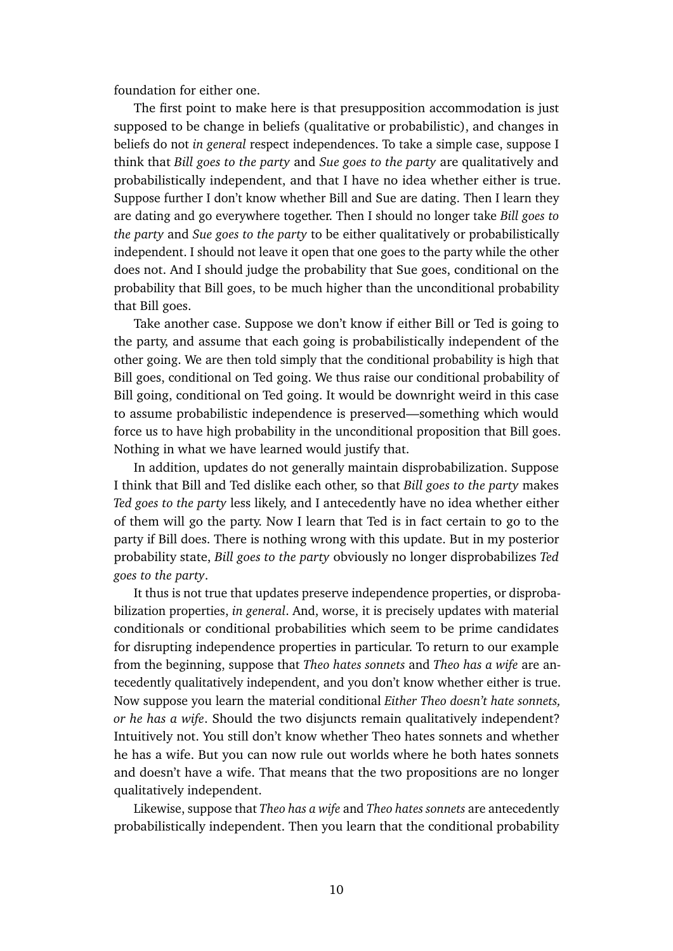foundation for either one.

The first point to make here is that presupposition accommodation is just supposed to be change in beliefs (qualitative or probabilistic), and changes in beliefs do not *in general* respect independences. To take a simple case, suppose I think that *Bill goes to the party* and *Sue goes to the party* are qualitatively and probabilistically independent, and that I have no idea whether either is true. Suppose further I don't know whether Bill and Sue are dating. Then I learn they are dating and go everywhere together. Then I should no longer take *Bill goes to the party* and *Sue goes to the party* to be either qualitatively or probabilistically independent. I should not leave it open that one goes to the party while the other does not. And I should judge the probability that Sue goes, conditional on the probability that Bill goes, to be much higher than the unconditional probability that Bill goes.

Take another case. Suppose we don't know if either Bill or Ted is going to the party, and assume that each going is probabilistically independent of the other going. We are then told simply that the conditional probability is high that Bill goes, conditional on Ted going. We thus raise our conditional probability of Bill going, conditional on Ted going. It would be downright weird in this case to assume probabilistic independence is preserved—something which would force us to have high probability in the unconditional proposition that Bill goes. Nothing in what we have learned would justify that.

In addition, updates do not generally maintain disprobabilization. Suppose I think that Bill and Ted dislike each other, so that *Bill goes to the party* makes *Ted goes to the party* less likely, and I antecedently have no idea whether either of them will go the party. Now I learn that Ted is in fact certain to go to the party if Bill does. There is nothing wrong with this update. But in my posterior probability state, *Bill goes to the party* obviously no longer disprobabilizes *Ted goes to the party*.

It thus is not true that updates preserve independence properties, or disprobabilization properties, *in general*. And, worse, it is precisely updates with material conditionals or conditional probabilities which seem to be prime candidates for disrupting independence properties in particular. To return to our example from the beginning, suppose that *Theo hates sonnets* and *Theo has a wife* are antecedently qualitatively independent, and you don't know whether either is true. Now suppose you learn the material conditional *Either Theo doesn't hate sonnets, or he has a wife*. Should the two disjuncts remain qualitatively independent? Intuitively not. You still don't know whether Theo hates sonnets and whether he has a wife. But you can now rule out worlds where he both hates sonnets and doesn't have a wife. That means that the two propositions are no longer qualitatively independent.

Likewise, suppose that *Theo has a wife* and *Theo hates sonnets* are antecedently probabilistically independent. Then you learn that the conditional probability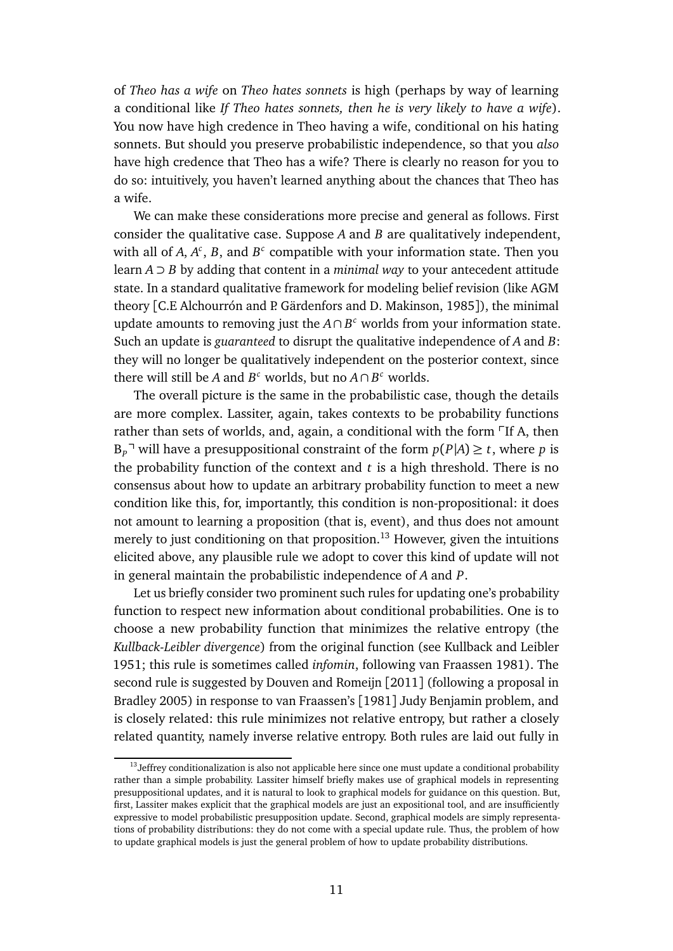of *Theo has a wife* on *Theo hates sonnets* is high (perhaps by way of learning a conditional like *If Theo hates sonnets, then he is very likely to have a wife*). You now have high credence in Theo having a wife, conditional on his hating sonnets. But should you preserve probabilistic independence, so that you *also* have high credence that Theo has a wife? There is clearly no reason for you to do so: intuitively, you haven't learned anything about the chances that Theo has a wife.

We can make these considerations more precise and general as follows. First consider the qualitative case. Suppose *A* and *B* are qualitatively independent, with all of  $A$ ,  $A^c$ ,  $B$ , and  $B^c$  compatible with your information state. Then you learn *A* ⊃ *B* by adding that content in a *minimal way* to your antecedent attitude state. In a standard qualitative framework for modeling belief revision (like AGM theory [[C.E Alchourrón and P. Gärdenfors and D. Makinson, 1985](#page-18-2)]), the minimal update amounts to removing just the *A*∩ *B <sup>c</sup>* worlds from your information state. Such an update is *guaranteed* to disrupt the qualitative independence of *A* and *B*: they will no longer be qualitatively independent on the posterior context, since there will still be *A* and  $B^c$  worlds, but no  $A \cap B^c$  worlds.

The overall picture is the same in the probabilistic case, though the details are more complex. Lassiter, again, takes contexts to be probability functions rather than sets of worlds, and, again, a conditional with the form  $\Gamma$ If A, then  $B_p$ <sup> $\neg$ </sup> will have a presuppositional constraint of the form  $p(P|A) \ge t$ , where *p* is the probability function of the context and *t* is a high threshold. There is no consensus about how to update an arbitrary probability function to meet a new condition like this, for, importantly, this condition is non-propositional: it does not amount to learning a proposition (that is, event), and thus does not amount merely to just conditioning on that proposition.<sup>[13](#page-10-0)</sup> However, given the intuitions elicited above, any plausible rule we adopt to cover this kind of update will not in general maintain the probabilistic independence of *A* and *P*.

Let us briefly consider two prominent such rules for updating one's probability function to respect new information about conditional probabilities. One is to choose a new probability function that minimizes the relative entropy (the *Kullback-Leibler divergence*) from the original function (see [Kullback and Leibler](#page-20-17) [1951;](#page-20-17) this rule is sometimes called *infomin*, following [van Fraassen 1981\)](#page-21-2). The second rule is suggested by [Douven and Romeijn](#page-19-16) [[2011](#page-19-16)] (following a proposal in [Bradley 2005\)](#page-18-3) in response to van Fraassen's [[1981](#page-21-2)] Judy Benjamin problem, and is closely related: this rule minimizes not relative entropy, but rather a closely related quantity, namely inverse relative entropy. Both rules are laid out fully in

<span id="page-10-0"></span> $13$  Jeffrey conditionalization is also not applicable here since one must update a conditional probability rather than a simple probability. Lassiter himself briefly makes use of graphical models in representing presuppositional updates, and it is natural to look to graphical models for guidance on this question. But, first, Lassiter makes explicit that the graphical models are just an expositional tool, and are insufficiently expressive to model probabilistic presupposition update. Second, graphical models are simply representations of probability distributions: they do not come with a special update rule. Thus, the problem of how to update graphical models is just the general problem of how to update probability distributions.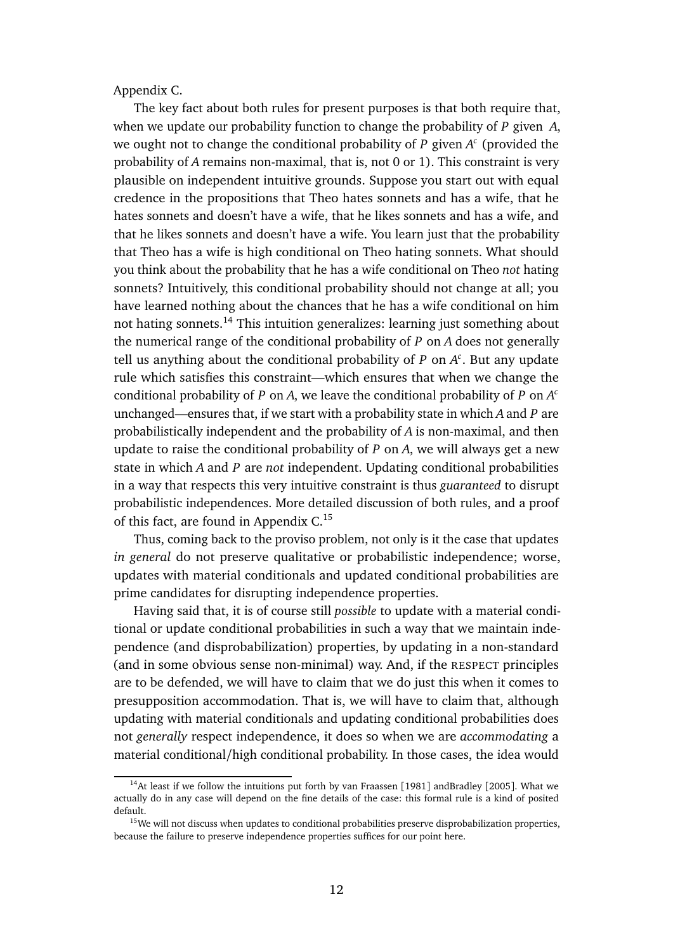Appendix [C.](#page-16-0)

The key fact about both rules for present purposes is that both require that, when we update our probability function to change the probability of *P* given *A*, we ought not to change the conditional probability of *P* given *A c* (provided the probability of *A* remains non-maximal, that is, not 0 or 1). This constraint is very plausible on independent intuitive grounds. Suppose you start out with equal credence in the propositions that Theo hates sonnets and has a wife, that he hates sonnets and doesn't have a wife, that he likes sonnets and has a wife, and that he likes sonnets and doesn't have a wife. You learn just that the probability that Theo has a wife is high conditional on Theo hating sonnets. What should you think about the probability that he has a wife conditional on Theo *not* hating sonnets? Intuitively, this conditional probability should not change at all; you have learned nothing about the chances that he has a wife conditional on him not hating sonnets.<sup>[14](#page-11-0)</sup> This intuition generalizes: learning just something about the numerical range of the conditional probability of *P* on *A* does not generally tell us anything about the conditional probability of *P* on *A c* . But any update rule which satisfies this constraint—which ensures that when we change the conditional probability of *P* on *A*, we leave the conditional probability of *P* on *A c* unchanged—ensures that, if we start with a probability state in which *A* and *P* are probabilistically independent and the probability of *A* is non-maximal, and then update to raise the conditional probability of *P* on *A*, we will always get a new state in which *A* and *P* are *not* independent. Updating conditional probabilities in a way that respects this very intuitive constraint is thus *guaranteed* to disrupt probabilistic independences. More detailed discussion of both rules, and a proof of this fact, are found in Appendix [C.](#page-16-0)[15](#page-11-1)

Thus, coming back to the proviso problem, not only is it the case that updates *in general* do not preserve qualitative or probabilistic independence; worse, updates with material conditionals and updated conditional probabilities are prime candidates for disrupting independence properties.

Having said that, it is of course still *possible* to update with a material conditional or update conditional probabilities in such a way that we maintain independence (and disprobabilization) properties, by updating in a non-standard (and in some obvious sense non-minimal) way. And, if the RESPECT principles are to be defended, we will have to claim that we do just this when it comes to presupposition accommodation. That is, we will have to claim that, although updating with material conditionals and updating conditional probabilities does not *generally* respect independence, it does so when we are *accommodating* a material conditional/high conditional probability. In those cases, the idea would

<span id="page-11-0"></span><sup>&</sup>lt;sup>14</sup>At least if we follow the intuitions put forth by [van Fraassen](#page-21-2) [[1981](#page-21-2)] an[dBradley](#page-18-3) [[2005](#page-18-3)]. What we actually do in any case will depend on the fine details of the case: this formal rule is a kind of posited default.

<span id="page-11-1"></span><sup>&</sup>lt;sup>15</sup>We will not discuss when updates to conditional probabilities preserve disprobabilization properties, because the failure to preserve independence properties suffices for our point here.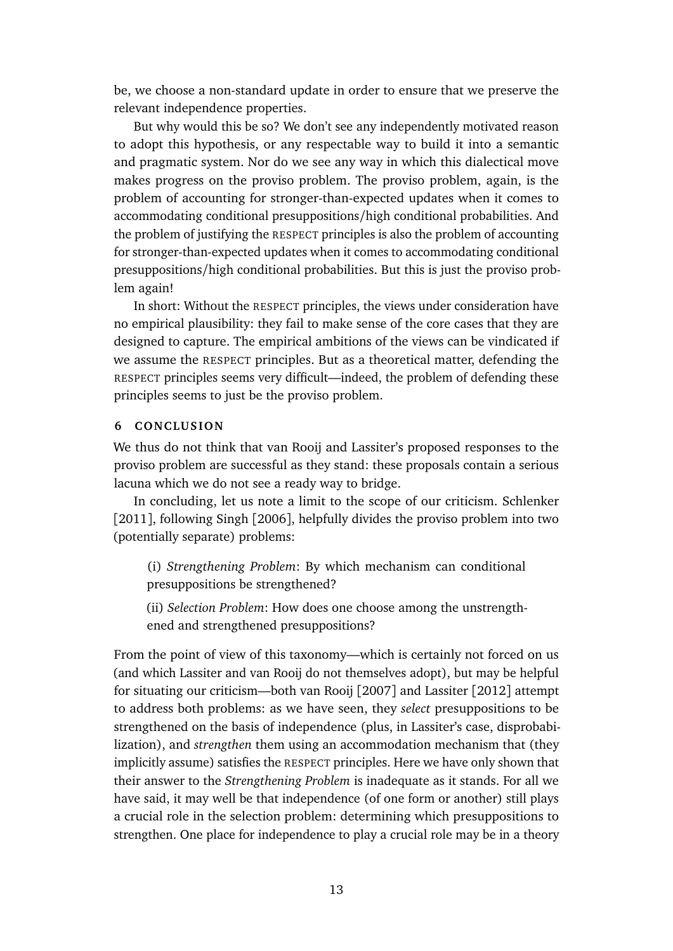be, we choose a non-standard update in order to ensure that we preserve the relevant independence properties.

But why would this be so? We don't see any independently motivated reason to adopt this hypothesis, or any respectable way to build it into a semantic and pragmatic system. Nor do we see any way in which this dialectical move makes progress on the proviso problem. The proviso problem, again, is the problem of accounting for stronger-than-expected updates when it comes to accommodating conditional presuppositions/high conditional probabilities. And the problem of justifying the RESPECT principles is also the problem of accounting for stronger-than-expected updates when it comes to accommodating conditional presuppositions/high conditional probabilities. But this is just the proviso problem again!

In short: Without the RESPECT principles, the views under consideration have no empirical plausibility: they fail to make sense of the core cases that they are designed to capture. The empirical ambitions of the views can be vindicated if we assume the RESPECT principles. But as a theoretical matter, defending the RESPECT principles seems very difficult—indeed, the problem of defending these principles seems to just be the proviso problem.

## **6 CONC LU S ION**

We thus do not think that van Rooij and Lassiter's proposed responses to the proviso problem are successful as they stand: these proposals contain a serious lacuna which we do not see a ready way to bridge.

In concluding, let us note a limit to the scope of our criticism. [Schlenker](#page-20-16) [[2011](#page-20-16)], following [Singh](#page-20-18) [[2006](#page-20-18)], helpfully divides the proviso problem into two (potentially separate) problems:

(i) *Strengthening Problem*: By which mechanism can conditional presuppositions be strengthened?

(ii) *Selection Problem*: How does one choose among the unstrengthened and strengthened presuppositions?

From the point of view of this taxonomy—which is certainly not forced on us (and which Lassiter and van Rooij do not themselves adopt), but may be helpful for situating our criticism—both [van Rooij](#page-20-0) [[2007](#page-20-0)] and [Lassiter](#page-20-1) [[2012](#page-20-1)] attempt to address both problems: as we have seen, they *select* presuppositions to be strengthened on the basis of independence (plus, in Lassiter's case, disprobabilization), and *strengthen* them using an accommodation mechanism that (they implicitly assume) satisfies the RESPECT principles. Here we have only shown that their answer to the *Strengthening Problem* is inadequate as it stands. For all we have said, it may well be that independence (of one form or another) still plays a crucial role in the selection problem: determining which presuppositions to strengthen. One place for independence to play a crucial role may be in a theory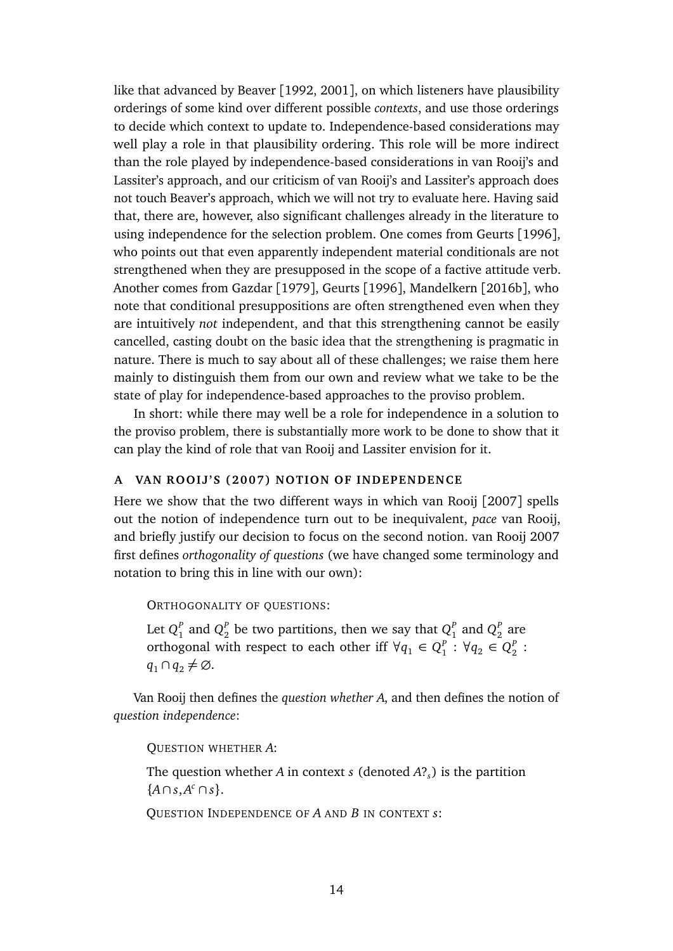like that advanced by [Beaver](#page-18-4) [[1992,](#page-18-4) [2001](#page-18-0)], on which listeners have plausibility orderings of some kind over different possible *contexts*, and use those orderings to decide which context to update to. Independence-based considerations may well play a role in that plausibility ordering. This role will be more indirect than the role played by independence-based considerations in van Rooij's and Lassiter's approach, and our criticism of van Rooij's and Lassiter's approach does not touch Beaver's approach, which we will not try to evaluate here. Having said that, there are, however, also significant challenges already in the literature to using independence for the selection problem. One comes from [Geurts](#page-19-0) [[1996](#page-19-0)], who points out that even apparently independent material conditionals are not strengthened when they are presupposed in the scope of a factive attitude verb. Another comes from [Gazdar](#page-19-17) [[1979](#page-19-17)], [Geurts](#page-19-0) [[1996](#page-19-0)], [Mandelkern](#page-20-19) [[2016b](#page-20-19)], who note that conditional presuppositions are often strengthened even when they are intuitively *not* independent, and that this strengthening cannot be easily cancelled, casting doubt on the basic idea that the strengthening is pragmatic in nature. There is much to say about all of these challenges; we raise them here mainly to distinguish them from our own and review what we take to be the state of play for independence-based approaches to the proviso problem.

In short: while there may well be a role for independence in a solution to the proviso problem, there is substantially more work to be done to show that it can play the kind of role that van Rooij and Lassiter envision for it.

### <span id="page-13-0"></span>A VAN ROOIJ'S (2007) NOTION OF INDEPENDENCE

Here we show that the two different ways in which [van Rooij](#page-20-0) [[2007](#page-20-0)] spells out the notion of independence turn out to be inequivalent, *pace* van Rooij, and briefly justify our decision to focus on the second notion. [van Rooij 2007](#page-20-0) first defines *orthogonality of questions* (we have changed some terminology and notation to bring this in line with our own):

ORTHOGONALITY OF QUESTIONS:

Let  $Q_1^p$  $\frac{p}{1}$  and  $Q_2^p$  $\frac{P}{2}$  be two partitions, then we say that  $Q_1^P$  $\frac{P}{1}$  and  $Q_2^P$  $\frac{p}{2}$  are orthogonal with respect to each other iff  $\forall q_1 \in Q_1^P$  $Q_1^P$  : ∀*q*<sub>2</sub> ∈  $Q_2^P$  $\frac{p}{2}$ :  $q_1 \cap q_2 \neq \emptyset$ .

Van Rooij then defines the *question whether A*, and then defines the notion of *question independence*:

QUESTION WHETHER *A*:

The question whether *A* in context *s* (denoted *A*?*<sup>s</sup>* ) is the partition  ${A \cap s, A^c \cap s}.$ 

QUESTION INDEPENDENCE OF *A* AND *B* IN CONTEXT *s*: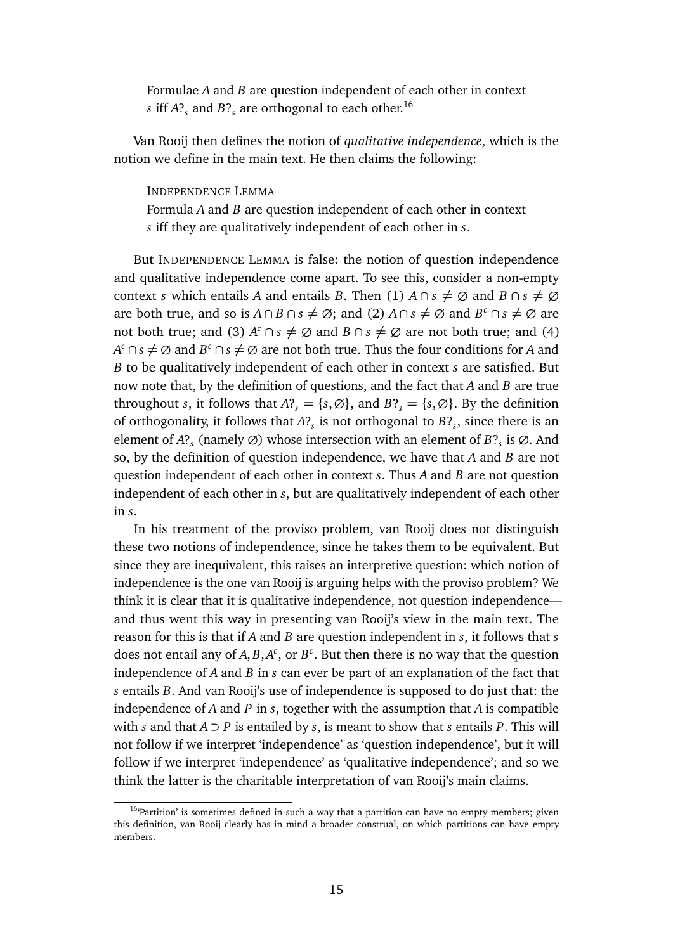Formulae *A* and *B* are question independent of each other in context *s* iff  $A$ ?<sup>*s*</sup> and  $B$ ?<sup>*s*</sup> are orthogonal to each other.<sup>[16](#page-14-0)</sup>

Van Rooij then defines the notion of *qualitative independence*, which is the notion we define in the main text. He then claims the following:

INDEPENDENCE LEMMA

Formula *A* and *B* are question independent of each other in context *s* iff they are qualitatively independent of each other in *s*.

But INDEPENDENCE LEMMA is false: the notion of question independence and qualitative independence come apart. To see this, consider a non-empty context *s* which entails *A* and entails *B*. Then (1)  $A \cap s \neq \emptyset$  and  $B \cap s \neq \emptyset$ are both true, and so is  $A \cap B \cap s \neq \emptyset$ ; and (2)  $A \cap s \neq \emptyset$  and  $B^c \cap s \neq \emptyset$  are not both true; and (3)  $A^c \cap s \neq \emptyset$  and  $B \cap s \neq \emptyset$  are not both true; and (4) *A*<sup>c</sup> ∩ *s*  $\neq \emptyset$  and *B*<sup>c</sup> ∩ *s*  $\neq \emptyset$  are not both true. Thus the four conditions for *A* and *B* to be qualitatively independent of each other in context *s* are satisfied. But now note that, by the definition of questions, and the fact that *A* and *B* are true throughout *s*, it follows that  $A$ ?<sup>*s*</sup> = {*s*, $\emptyset$ }, and  $B$ ?*<sub>s</sub>* = {*s*, $\emptyset$ }. By the definition of orthogonality, it follows that *A*?*<sup>s</sup>* is not orthogonal to *B*?*<sup>s</sup>* , since there is an element of  $A$ ?<sub>*s*</sub> (namely  $\emptyset$ ) whose intersection with an element of  $B$ ?<sub>*s*</sub> is  $\emptyset$ . And so, by the definition of question independence, we have that *A* and *B* are not question independent of each other in context *s*. Thus *A* and *B* are not question independent of each other in *s*, but are qualitatively independent of each other in *s*.

In his treatment of the proviso problem, van Rooij does not distinguish these two notions of independence, since he takes them to be equivalent. But since they are inequivalent, this raises an interpretive question: which notion of independence is the one van Rooij is arguing helps with the proviso problem? We think it is clear that it is qualitative independence, not question independence and thus went this way in presenting van Rooij's view in the main text. The reason for this is that if *A* and *B* are question independent in *s*, it follows that *s* does not entail any of  $A$ ,  $B$ ,  $A^c$ , or  $B^c$ . But then there is no way that the question independence of *A* and *B* in *s* can ever be part of an explanation of the fact that *s* entails *B*. And van Rooij's use of independence is supposed to do just that: the independence of *A* and *P* in *s*, together with the assumption that *A* is compatible with *s* and that  $A \supset P$  is entailed by *s*, is meant to show that *s* entails *P*. This will not follow if we interpret 'independence' as 'question independence', but it will follow if we interpret 'independence' as 'qualitative independence'; and so we think the latter is the charitable interpretation of van Rooij's main claims.

<span id="page-14-0"></span><sup>&</sup>lt;sup>16</sup>'Partition' is sometimes defined in such a way that a partition can have no empty members; given this definition, van Rooij clearly has in mind a broader construal, on which partitions can have empty members.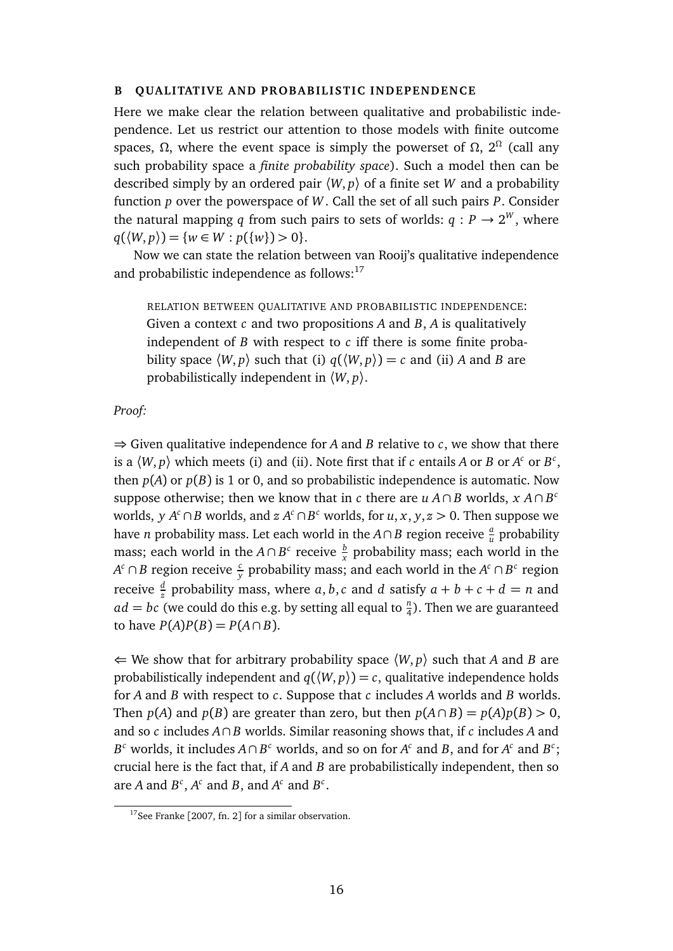#### <span id="page-15-0"></span>**B** QUALITATIVE AND PROBABILISTIC INDEPENDENCE

Here we make clear the relation between qualitative and probabilistic independence. Let us restrict our attention to those models with finite outcome spaces, *Ω*, where the event space is simply the powerset of *Ω*, 2 *Ω* (call any such probability space a *finite probability space*). Such a model then can be described simply by an ordered pair  $\langle W, p \rangle$  of a finite set *W* and a probability function *p* over the powerspace of *W*. Call the set of all such pairs *P*. Consider the natural mapping  $q$  from such pairs to sets of worlds:  $q: P \rightarrow 2^W$ , where  $q(\langle W, p \rangle) = \{w \in W : p(\{w\}) > 0\}.$ 

Now we can state the relation between van Rooij's qualitative independence and probabilistic independence as follows:<sup>[17](#page-15-1)</sup>

RELATION BETWEEN QUALITATIVE AND PROBABILISTIC INDEPENDENCE: Given a context *c* and two propositions *A* and *B*, *A* is qualitatively independent of *B* with respect to *c* iff there is some finite probability space  $\langle W, p \rangle$  such that (i)  $q(\langle W, p \rangle) = c$  and (ii) *A* and *B* are probabilistically independent in 〈*W*, *p*〉.

*Proof:*

⇒ Given qualitative independence for *A* and *B* relative to *c*, we show that there is a  $\langle W, p \rangle$  which meets (i) and (ii). Note first that if *c* entails *A* or *B* or *A<sup>c</sup>* or *B<sup>c</sup>*, then  $p(A)$  or  $p(B)$  is 1 or 0, and so probabilistic independence is automatic. Now suppose otherwise; then we know that in *c* there are  $u A \cap B$  worlds,  $x A \cap B^c$ worlds, *y A<sup>c</sup>* ∩*B* worlds, and *z A<sup>c</sup>* ∩*B <sup>c</sup>* worlds, for *u*, *x*, *y*, *z >* 0. Then suppose we have *n* probability mass. Let each world in the  $A \cap B$  region receive  $\frac{a}{u}$  probability mass; each world in the  $A \cap B^c$  receive  $\frac{b}{x}$  probability mass; each world in the *A*<sup>c</sup> ∩ *B* region receive  $\frac{c}{y}$  probability mass; and each world in the *A*<sup>c</sup> ∩ *B*<sup>c</sup> region receive  $\frac{d}{z}$  probability mass, where *a*, *b*, *c* and *d* satisfy  $a + b + c + d = n$  and  $ad = bc$  (we could do this e.g. by setting all equal to  $\frac{n}{4}$ ). Then we are guaranteed to have  $P(A)P(B) = P(A \cap B)$ .

⇐ We show that for arbitrary probability space 〈*W*, *p*〉 such that *A* and *B* are probabilistically independent and  $q(\langle W, p \rangle) = c$ , qualitative independence holds for *A* and *B* with respect to *c*. Suppose that *c* includes *A* worlds and *B* worlds. Then *p*(*A*) and *p*(*B*) are greater than zero, but then  $p(A \cap B) = p(A)p(B) > 0$ , and so *c* includes *A*∩ *B* worlds. Similar reasoning shows that, if *c* includes *A* and *B*<sup>*c*</sup> worlds, it includes *A*∩*B*<sup>*c*</sup> worlds, and so on for *A<sup>c</sup>* and *B*, and for *A<sup>c</sup>* and *B<sup><i>c*</sup>; crucial here is the fact that, if *A* and *B* are probabilistically independent, then so are *A* and  $B^c$ ,  $A^c$  and *B*, and  $A^c$  and  $B^c$ .

<span id="page-15-1"></span><sup>&</sup>lt;sup>17</sup>See [Franke](#page-19-13) [[2007,](#page-19-13) fn. 2] for a similar observation.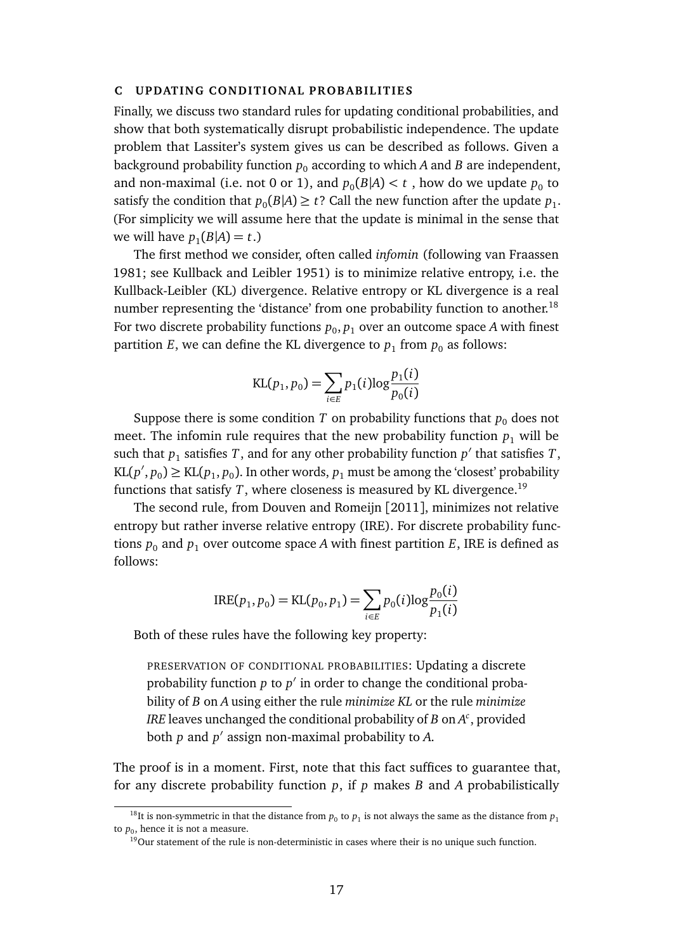#### <span id="page-16-0"></span>**C UPDATING CONDITIONAL PROBABILITIES**

Finally, we discuss two standard rules for updating conditional probabilities, and show that both systematically disrupt probabilistic independence. The update problem that Lassiter's system gives us can be described as follows. Given a background probability function  $p_0$  according to which *A* and *B* are independent, and non-maximal (i.e. not 0 or 1), and  $p_0(B|A) < t$ , how do we update  $p_0$  to satisfy the condition that  $p_0(B|A) \ge t$ ? Call the new function after the update  $p_1$ . (For simplicity we will assume here that the update is minimal in the sense that we will have  $p_1(B|A) = t$ .)

The first method we consider, often called *infomin* (following [van Fraassen](#page-21-2) [1981;](#page-21-2) see [Kullback and Leibler 1951\)](#page-20-17) is to minimize relative entropy, i.e. the Kullback-Leibler (KL) divergence. Relative entropy or KL divergence is a real number representing the 'distance' from one probability function to another.<sup>[18](#page-16-1)</sup> For two discrete probability functions  $p_0, p_1$  over an outcome space  $A$  with finest partition  $E$ , we can define the KL divergence to  $p_1$  from  $p_0$  as follows:

$$
KL(p_1, p_0) = \sum_{i \in E} p_1(i) \log \frac{p_1(i)}{p_0(i)}
$$

Suppose there is some condition *T* on probability functions that  $p_0$  does not meet. The infomin rule requires that the new probability function  $p_1$  will be such that  $p_1$  satisfies  $T$ , and for any other probability function  $p'$  that satisfies  $T$ ,  $\text{KL}(p', p_0) \geq \text{KL}(p_1, p_0)$ . In other words,  $p_1$  must be among the 'closest' probability functions that satisfy  $T$ , where closeness is measured by KL divergence.<sup>[19](#page-16-2)</sup>

The second rule, from [Douven and Romeijn](#page-19-16) [[2011](#page-19-16)], minimizes not relative entropy but rather inverse relative entropy (IRE). For discrete probability functions  $p_0$  and  $p_1$  over outcome space A with finest partition  $E$ , IRE is defined as follows:

$$
IRE(p_1, p_0) = KL(p_0, p_1) = \sum_{i \in E} p_0(i) \log \frac{p_0(i)}{p_1(i)}
$$

Both of these rules have the following key property:

PRESERVATION OF CONDITIONAL PROBABILITIES: Updating a discrete probability function  $p$  to  $p'$  in order to change the conditional probability of *B* on *A* using either the rule *minimize KL* or the rule *minimize IRE* leaves unchanged the conditional probability of *B* on *A c* , provided both *p* and *p'* assign non-maximal probability to A.

The proof is in a moment. First, note that this fact suffices to guarantee that, for any discrete probability function *p*, if *p* makes *B* and *A* probabilistically

<span id="page-16-1"></span><sup>&</sup>lt;sup>18</sup>It is non-symmetric in that the distance from  $p_0$  to  $p_1$  is not always the same as the distance from  $p_1$ to  $p_0$ , hence it is not a measure.

<span id="page-16-2"></span> $19$ Our statement of the rule is non-deterministic in cases where their is no unique such function.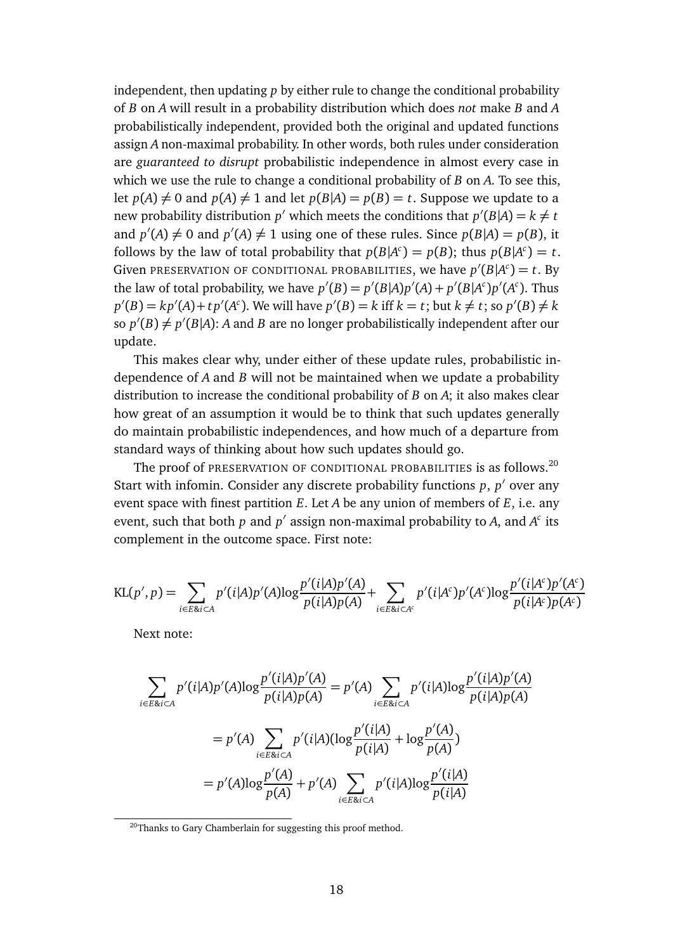independent, then updating *p* by either rule to change the conditional probability of *B* on *A* will result in a probability distribution which does *not* make *B* and *A* probabilistically independent, provided both the original and updated functions assign *A* non-maximal probability. In other words, both rules under consideration are *guaranteed to disrupt* probabilistic independence in almost every case in which we use the rule to change a conditional probability of *B* on *A*. To see this, let  $p(A) \neq 0$  and  $p(A) \neq 1$  and let  $p(B|A) = p(B) = t$ . Suppose we update to a new probability distribution  $p'$  which meets the conditions that  $p'(B|A) = k \neq t$ and  $p'(A) \neq 0$  and  $p'(A) \neq 1$  using one of these rules. Since  $p(B|A) = p(B)$ , it follows by the law of total probability that  $p(B|A^c) = p(B)$ ; thus  $p(B|A^c) = t$ . Given PRESERVATION OF CONDITIONAL PROBABILITIES, we have  $p'(B|A^c) = t$ . By the law of total probability, we have  $p'(B) = p'(B|A)p'(A) + p'(B|A^c)p'(A^c)$ . Thus  $p'(B) = kp'(A) + tp'(A^c)$ . We will have  $p'(B) = k$  iff  $k = t$ ; but  $k \neq t$ ; so  $p'(B) \neq k$ so  $p'(B) \neq p'(B|A)$ : *A* and *B* are no longer probabilistically independent after our update.

This makes clear why, under either of these update rules, probabilistic independence of *A* and *B* will not be maintained when we update a probability distribution to increase the conditional probability of *B* on *A*; it also makes clear how great of an assumption it would be to think that such updates generally do maintain probabilistic independences, and how much of a departure from standard ways of thinking about how such updates should go.

The proof of PRESERVATION OF CONDITIONAL PROBABILITIES is as follows.<sup>[20](#page-17-0)</sup> Start with infomin. Consider any discrete probability functions  $p$ ,  $p'$  over any event space with finest partition *E*. Let *A* be any union of members of *E*, i.e. any event, such that both  $p$  and  $p'$  assign non-maximal probability to  $A$ , and  $A<sup>c</sup>$  its complement in the outcome space. First note:

$$
KL(p',p) = \sum_{i \in E \& i \in A} p'(i|A)p'(A)\log \frac{p'(i|A)p'(A)}{p(i|A)p(A)} + \sum_{i \in E \& i \in A^c} p'(i|A^c)p'(A^c)\log \frac{p'(i|A^c)p'(A^c)}{p(i|A^c)p(A^c)}
$$

Next note:

$$
\sum_{i \in E \& i \subset A} p'(i|A)p'(A)\log \frac{p'(i|A)p'(A)}{p(i|A)p(A)} = p'(A) \sum_{i \in E \& i \subset A} p'(i|A)\log \frac{p'(i|A)p'(A)}{p(i|A)p(A)}
$$

$$
= p'(A) \sum_{i \in E \& i \subset A} p'(i|A)(\log \frac{p'(i|A)}{p(i|A)} + \log \frac{p'(A)}{p(A)})
$$

$$
= p'(A)\log \frac{p'(A)}{p(A)} + p'(A) \sum_{i \in E \& i \subset A} p'(i|A)\log \frac{p'(i|A)}{p(i|A)}
$$

<span id="page-17-0"></span> $20$ Thanks to Gary Chamberlain for suggesting this proof method.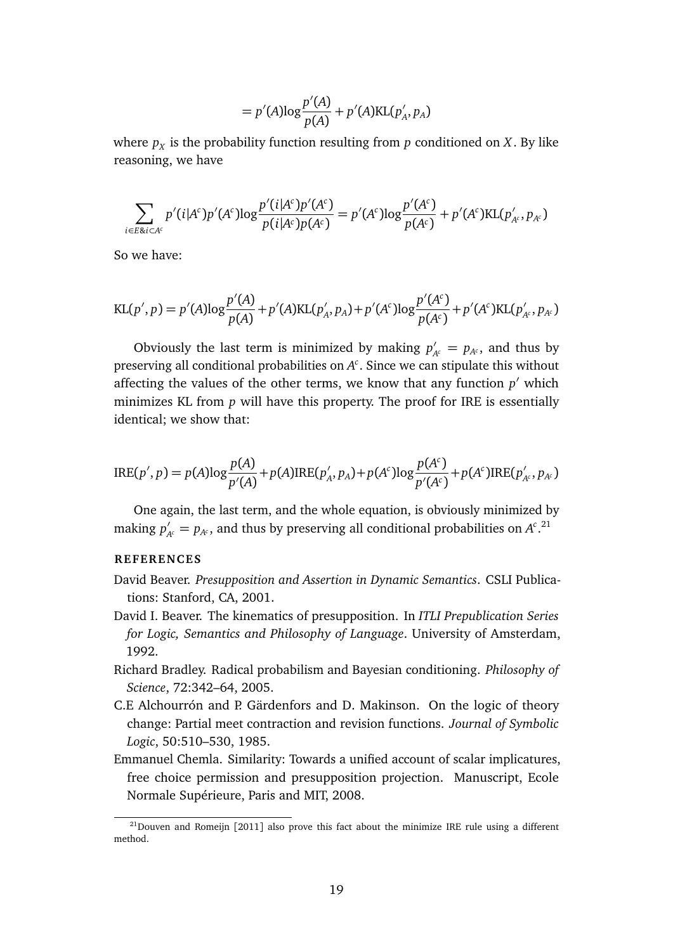$$
= p'(A)\log \frac{p'(A)}{p(A)} + p'(A)\text{KL}(p'_A, p_A)
$$

where  $p_X$  is the probability function resulting from  $p$  conditioned on  $X$ . By like reasoning, we have

$$
\sum_{i\in E\&i\in A^c} p'(i|A^c)p'(A^c)\log\frac{p'(i|A^c)p'(A^c)}{p(i|A^c)p(A^c)}=p'(A^c)\log\frac{p'(A^c)}{p(A^c)}+p'(A^c)\text{KL}(p'_{A^c},p_{A^c})
$$

So we have:

$$
KL(p', p) = p'(A)log \frac{p'(A)}{p(A)} + p'(A)KL(p'_A, p_A) + p'(A^c)log \frac{p'(A^c)}{p(A^c)} + p'(A^c)KL(p'_A, p_{A^c})
$$

Obviously the last term is minimized by making  $p'_{A^c} = p_{A^c}$ , and thus by preserving all conditional probabilities on  $A<sup>c</sup>$ . Since we can stipulate this without affecting the values of the other terms, we know that any function  $p'$  which minimizes KL from *p* will have this property. The proof for IRE is essentially identical; we show that:

$$
IRE(p', p) = p(A)log \frac{p(A)}{p'(A)} + p(A)IRE(p'_A, p_A) + p(A^c)log \frac{p(A^c)}{p'(A^c)} + p(A^c)IRE(p'_{A^c}, p_{A^c})
$$

One again, the last term, and the whole equation, is obviously minimized by making  $p'_{A^c} = p_{A^c}$ , and thus by preserving all conditional probabilities on  $A^c$ .<sup>[21](#page-18-5)</sup>

#### **R E F ER ENC E S**

- <span id="page-18-0"></span>David Beaver. *Presupposition and Assertion in Dynamic Semantics*. CSLI Publications: Stanford, CA, 2001.
- <span id="page-18-4"></span>David I. Beaver. The kinematics of presupposition. In *ITLI Prepublication Series for Logic, Semantics and Philosophy of Language*. University of Amsterdam, 1992.
- <span id="page-18-3"></span>Richard Bradley. Radical probabilism and Bayesian conditioning. *Philosophy of Science*, 72:342–64, 2005.
- <span id="page-18-2"></span>C.E Alchourrón and P. Gärdenfors and D. Makinson. On the logic of theory change: Partial meet contraction and revision functions. *Journal of Symbolic Logic*, 50:510–530, 1985.
- <span id="page-18-1"></span>Emmanuel Chemla. Similarity: Towards a unified account of scalar implicatures, free choice permission and presupposition projection. Manuscript, Ecole Normale Supérieure, Paris and MIT, 2008.

<span id="page-18-5"></span> $^{21}$ [Douven and Romeijn](#page-19-16) [[2011](#page-19-16)] also prove this fact about the minimize IRE rule using a different method.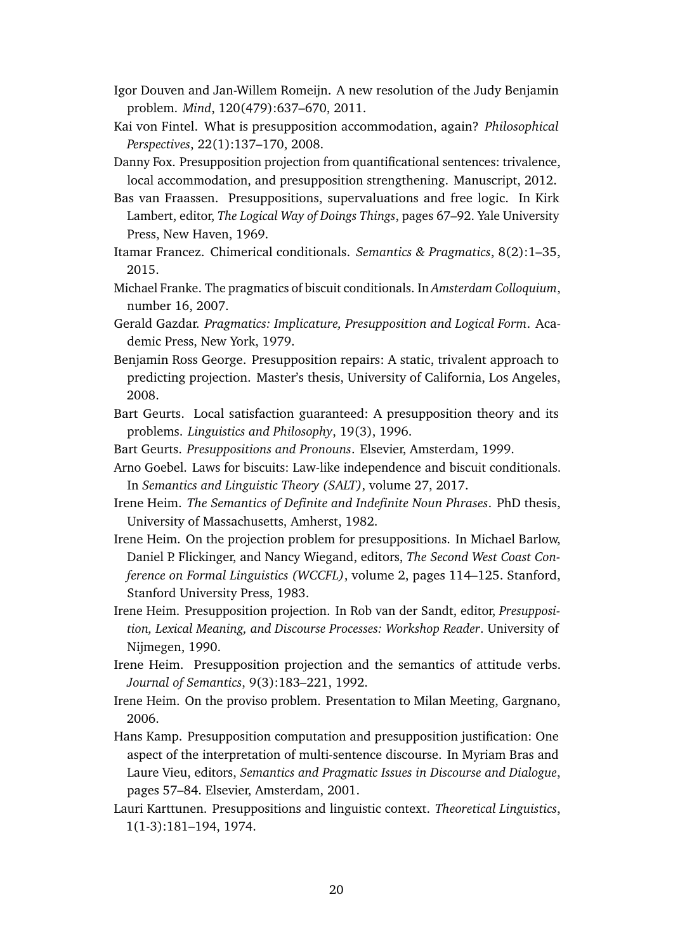- <span id="page-19-16"></span>Igor Douven and Jan-Willem Romeijn. A new resolution of the Judy Benjamin problem. *Mind*, 120(479):637–670, 2011.
- <span id="page-19-8"></span>Kai von Fintel. What is presupposition accommodation, again? *Philosophical Perspectives*, 22(1):137–170, 2008.
- <span id="page-19-11"></span>Danny Fox. Presupposition projection from quantificational sentences: trivalence, local accommodation, and presupposition strengthening. Manuscript, 2012.
- <span id="page-19-9"></span>Bas van Fraassen. Presuppositions, supervaluations and free logic. In Kirk Lambert, editor, *The Logical Way of Doings Things*, pages 67–92. Yale University Press, New Haven, 1969.
- <span id="page-19-14"></span>Itamar Francez. Chimerical conditionals. *Semantics & Pragmatics*, 8(2):1–35, 2015.
- <span id="page-19-13"></span>Michael Franke. The pragmatics of biscuit conditionals. In *Amsterdam Colloquium*, number 16, 2007.
- <span id="page-19-17"></span>Gerald Gazdar. *Pragmatics: Implicature, Presupposition and Logical Form*. Academic Press, New York, 1979.
- <span id="page-19-10"></span>Benjamin Ross George. Presupposition repairs: A static, trivalent approach to predicting projection. Master's thesis, University of California, Los Angeles, 2008.
- <span id="page-19-0"></span>Bart Geurts. Local satisfaction guaranteed: A presupposition theory and its problems. *Linguistics and Philosophy*, 19(3), 1996.
- <span id="page-19-1"></span>Bart Geurts. *Presuppositions and Pronouns*. Elsevier, Amsterdam, 1999.
- <span id="page-19-15"></span>Arno Goebel. Laws for biscuits: Law-like independence and biscuit conditionals. In *Semantics and Linguistic Theory (SALT)*, volume 27, 2017.
- <span id="page-19-3"></span>Irene Heim. *The Semantics of Definite and Indefinite Noun Phrases*. PhD thesis, University of Massachusetts, Amherst, 1982.
- <span id="page-19-4"></span>Irene Heim. On the projection problem for presuppositions. In Michael Barlow, Daniel P. Flickinger, and Nancy Wiegand, editors, *The Second West Coast Conference on Formal Linguistics (WCCFL)*, volume 2, pages 114–125. Stanford, Stanford University Press, 1983.
- <span id="page-19-5"></span>Irene Heim. Presupposition projection. In Rob van der Sandt, editor, *Presupposition, Lexical Meaning, and Discourse Processes: Workshop Reader*. University of Nijmegen, 1990.
- <span id="page-19-6"></span>Irene Heim. Presupposition projection and the semantics of attitude verbs. *Journal of Semantics*, 9(3):183–221, 1992.
- <span id="page-19-12"></span>Irene Heim. On the proviso problem. Presentation to Milan Meeting, Gargnano, 2006.
- <span id="page-19-2"></span>Hans Kamp. Presupposition computation and presupposition justification: One aspect of the interpretation of multi-sentence discourse. In Myriam Bras and Laure Vieu, editors, *Semantics and Pragmatic Issues in Discourse and Dialogue*, pages 57–84. Elsevier, Amsterdam, 2001.
- <span id="page-19-7"></span>Lauri Karttunen. Presuppositions and linguistic context. *Theoretical Linguistics*, 1(1-3):181–194, 1974.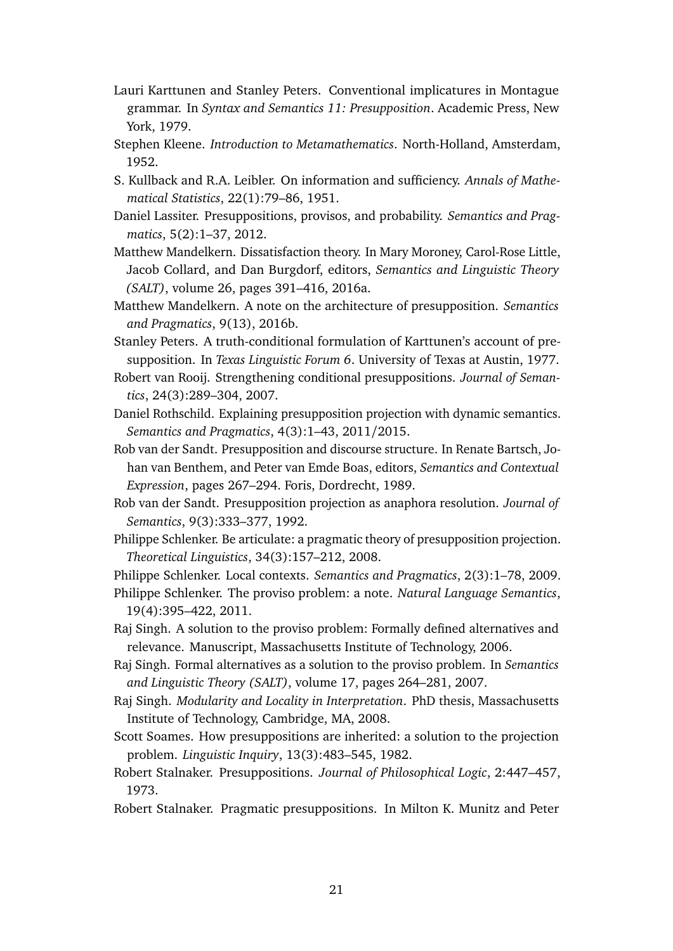- <span id="page-20-11"></span>Lauri Karttunen and Stanley Peters. Conventional implicatures in Montague grammar. In *Syntax and Semantics 11: Presupposition*. Academic Press, New York, 1979.
- <span id="page-20-9"></span>Stephen Kleene. *Introduction to Metamathematics*. North-Holland, Amsterdam, 1952.
- <span id="page-20-17"></span>S. Kullback and R.A. Leibler. On information and sufficiency. *Annals of Mathematical Statistics*, 22(1):79–86, 1951.
- <span id="page-20-1"></span>Daniel Lassiter. Presuppositions, provisos, and probability. *Semantics and Pragmatics*, 5(2):1–37, 2012.
- <span id="page-20-4"></span>Matthew Mandelkern. Dissatisfaction theory. In Mary Moroney, Carol-Rose Little, Jacob Collard, and Dan Burgdorf, editors, *Semantics and Linguistic Theory (SALT)*, volume 26, pages 391–416, 2016a.
- <span id="page-20-19"></span>Matthew Mandelkern. A note on the architecture of presupposition. *Semantics and Pragmatics*, 9(13), 2016b.
- <span id="page-20-10"></span>Stanley Peters. A truth-conditional formulation of Karttunen's account of presupposition. In *Texas Linguistic Forum 6*. University of Texas at Austin, 1977.
- <span id="page-20-0"></span>Robert van Rooij. Strengthening conditional presuppositions. *Journal of Semantics*, 24(3):289–304, 2007.
- <span id="page-20-8"></span>Daniel Rothschild. Explaining presupposition projection with dynamic semantics. *Semantics and Pragmatics*, 4(3):1–43, 2011/2015.
- <span id="page-20-2"></span>Rob van der Sandt. Presupposition and discourse structure. In Renate Bartsch, Johan van Benthem, and Peter van Emde Boas, editors, *Semantics and Contextual Expression*, pages 267–294. Foris, Dordrecht, 1989.
- <span id="page-20-3"></span>Rob van der Sandt. Presupposition projection as anaphora resolution. *Journal of Semantics*, 9(3):333–377, 1992.
- <span id="page-20-13"></span>Philippe Schlenker. Be articulate: a pragmatic theory of presupposition projection. *Theoretical Linguistics*, 34(3):157–212, 2008.

<span id="page-20-7"></span>Philippe Schlenker. Local contexts. *Semantics and Pragmatics*, 2(3):1–78, 2009.

- <span id="page-20-16"></span>Philippe Schlenker. The proviso problem: a note. *Natural Language Semantics*, 19(4):395–422, 2011.
- <span id="page-20-18"></span>Raj Singh. A solution to the proviso problem: Formally defined alternatives and relevance. Manuscript, Massachusetts Institute of Technology, 2006.
- <span id="page-20-14"></span>Raj Singh. Formal alternatives as a solution to the proviso problem. In *Semantics and Linguistic Theory (SALT)*, volume 17, pages 264–281, 2007.
- <span id="page-20-15"></span>Raj Singh. *Modularity and Locality in Interpretation*. PhD thesis, Massachusetts Institute of Technology, Cambridge, MA, 2008.
- <span id="page-20-12"></span>Scott Soames. How presuppositions are inherited: a solution to the projection problem. *Linguistic Inquiry*, 13(3):483–545, 1982.
- <span id="page-20-5"></span>Robert Stalnaker. Presuppositions. *Journal of Philosophical Logic*, 2:447–457, 1973.
- <span id="page-20-6"></span>Robert Stalnaker. Pragmatic presuppositions. In Milton K. Munitz and Peter